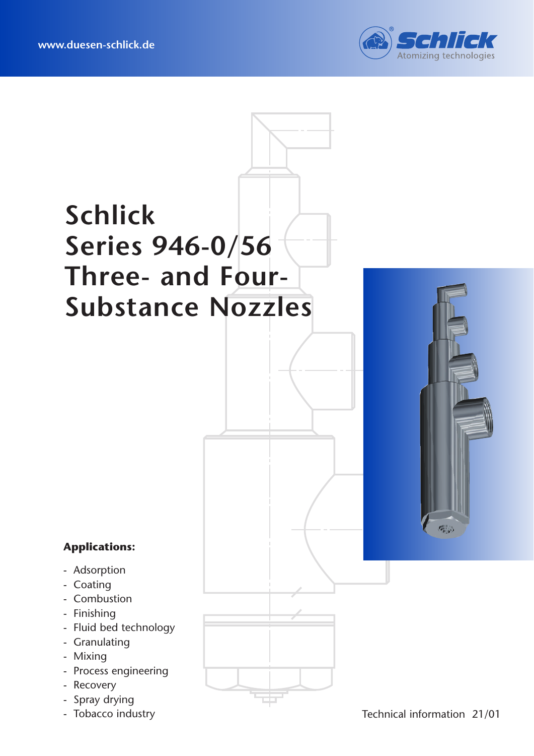

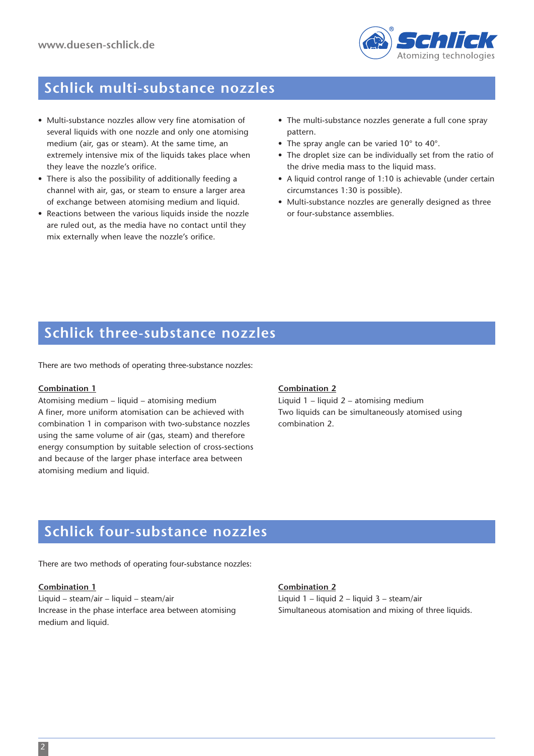

### **Schlick multi-substance nozzles**

- Multi-substance nozzles allow very fine atomisation of several liquids with one nozzle and only one atomising medium (air, gas or steam). At the same time, an extremely intensive mix of the liquids takes place when they leave the nozzle's orifice.
- There is also the possibility of additionally feeding a channel with air, gas, or steam to ensure a larger area of exchange between atomising medium and liquid.
- Reactions between the various liquids inside the nozzle are ruled out, as the media have no contact until they mix externally when leave the nozzle's orifice.
- The multi-substance nozzles generate a full cone spray pattern.
- The spray angle can be varied 10° to 40°.
- The droplet size can be individually set from the ratio of the drive media mass to the liquid mass.
- A liquid control range of 1:10 is achievable (under certain circumstances 1:30 is possible).
- Multi-substance nozzles are generally designed as three or four-substance assemblies.

### **Schlick three-substance nozzles**

There are two methods of operating three-substance nozzles:

#### **Combination 1**

Atomising medium – liquid – atomising medium A finer, more uniform atomisation can be achieved with combination 1 in comparison with two-substance nozzles using the same volume of air (gas, steam) and therefore energy consumption by suitable selection of cross-sections and because of the larger phase interface area between atomising medium and liquid.

### **Combination 2**

Liquid 1 – liquid 2 – atomising medium Two liquids can be simultaneously atomised using combination 2.

### **Schlick four-substance nozzles**

There are two methods of operating four-substance nozzles:

#### **Combination 1**

Liquid – steam/air – liquid – steam/air Increase in the phase interface area between atomising medium and liquid.

#### **Combination 2**

Liquid 1 – liquid 2 – liquid 3 – steam/air Simultaneous atomisation and mixing of three liquids.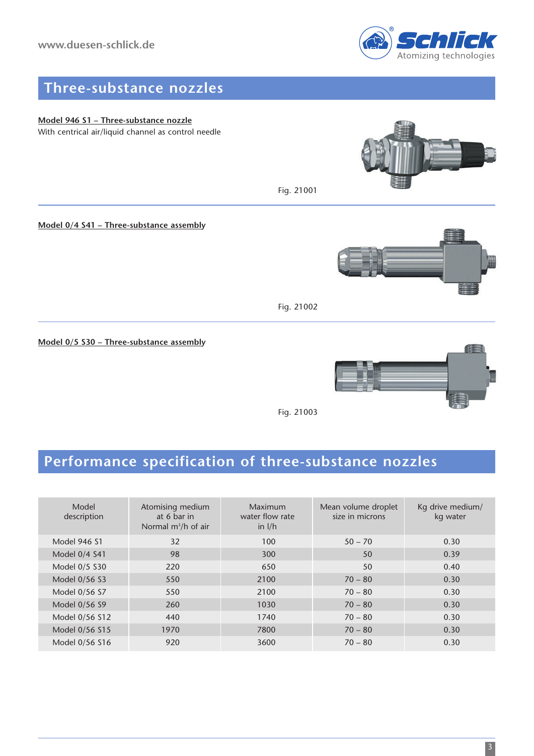

### **Three-substance nozzles**

**Model 946 S1 – Three-substance nozzle** With centrical air/liquid channel as control needle

**Model 0/4 S41 – Three-substance assembly**



Fig. 21002

Fig. 21001

**Model 0/5 S30 – Three-substance assembly**



Fig. 21003

# **Performance specification of three-substance nozzles**

| Model<br>description | Atomising medium<br>at 6 bar in<br>Normal m <sup>3</sup> /h of air | Maximum<br>water flow rate<br>in $I/h$ | Mean volume droplet<br>size in microns | Kg drive medium/<br>kg water |
|----------------------|--------------------------------------------------------------------|----------------------------------------|----------------------------------------|------------------------------|
| <b>Model 946 S1</b>  | 32                                                                 | 100                                    | $50 - 70$                              | 0.30                         |
| Model 0/4 S41        | 98                                                                 | 300                                    | 50                                     | 0.39                         |
| Model 0/5 S30        | 220                                                                | 650                                    | 50                                     | 0.40                         |
| Model 0/56 S3        | 550                                                                | 2100                                   | $70 - 80$                              | 0.30                         |
| Model 0/56 S7        | 550                                                                | 2100                                   | $70 - 80$                              | 0.30                         |
| Model 0/56 S9        | 260                                                                | 1030                                   | $70 - 80$                              | 0.30                         |
| Model 0/56 S12       | 440                                                                | 1740                                   | $70 - 80$                              | 0.30                         |
| Model 0/56 S15       | 1970                                                               | 7800                                   | $70 - 80$                              | 0.30                         |
| Model 0/56 S16       | 920                                                                | 3600                                   | $70 - 80$                              | 0.30                         |
|                      |                                                                    |                                        |                                        |                              |
|                      |                                                                    |                                        |                                        | $\overline{\mathbf{3}}$      |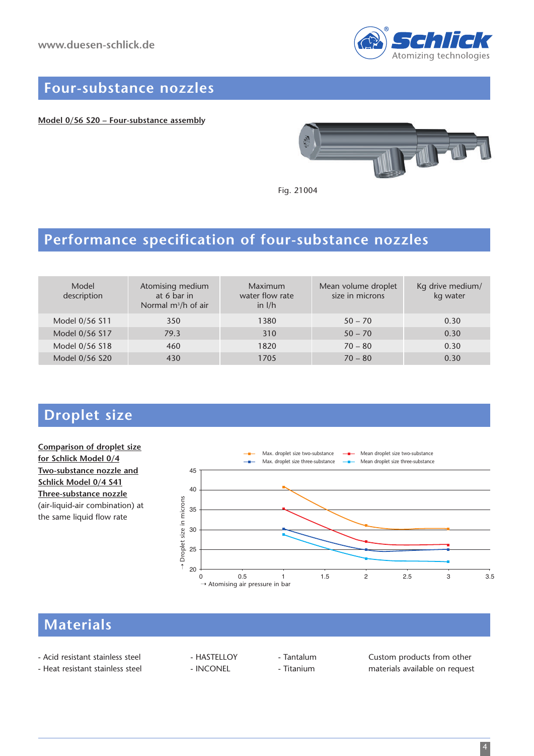

### **Four-substance nozzles**

**Model 0/56 S20 – Four-substance assembly**



Fig. 21004

### **Performance specification of four-substance nozzles**

| Model<br>description | Atomising medium<br>at 6 bar in<br>Normal $m^3/h$ of air | Maximum<br>water flow rate<br>in $I/h$ | Mean volume droplet<br>size in microns | Kg drive medium/<br>kg water |
|----------------------|----------------------------------------------------------|----------------------------------------|----------------------------------------|------------------------------|
| Model 0/56 S11       | 350                                                      | 1380                                   | $50 - 70$                              | 0.30                         |
| Model 0/56 S17       | 79.3                                                     | 310                                    | $50 - 70$                              | 0.30                         |
| Model 0/56 S18       | 460                                                      | 1820                                   | $70 - 80$                              | 0.30                         |
| Model 0/56 S20       | 430                                                      | 1705                                   | $70 - 80$                              | 0.30                         |

### **Droplet size**

### **Comparison of droplet size for Schlick Model 0/4 Two-substance nozzle and Schlick Model 0/4 S41 Three-substance nozzle** (air-liquid-air combination) at the same liquid flow rate



## **Materials**

- 
- 

- Acid resistant stainless steel - HASTELLOY - Tantalum Custom products from other - Heat resistant stainless steel - INCONEL - Titanium - Titanium materials available on request

4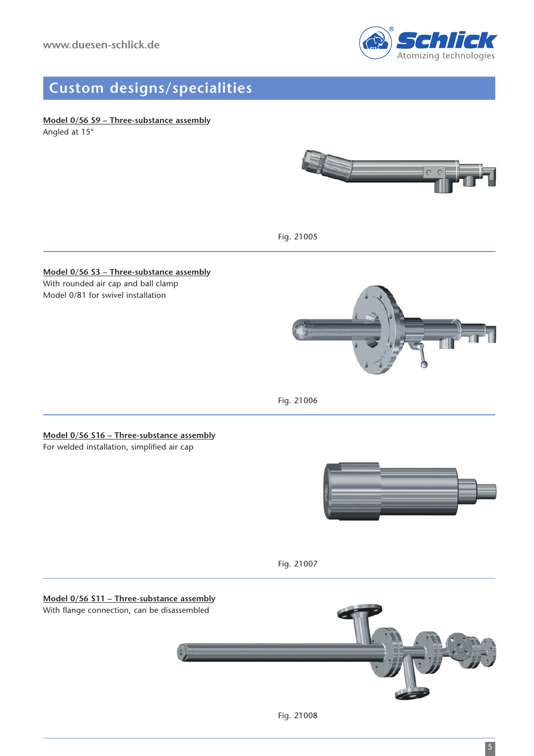

## **Custom designs/specialities**

Angled at 15°



Fig. 21005

### **Model 0/56 S3 – Three-substance assembly** With rounded air cap and ball clamp

Model 0/81 for swivel installation



Fig. 21006

**Model 0/56 S16 – Three-substance assembly** For welded installation, simplified air cap



Fig. 21007